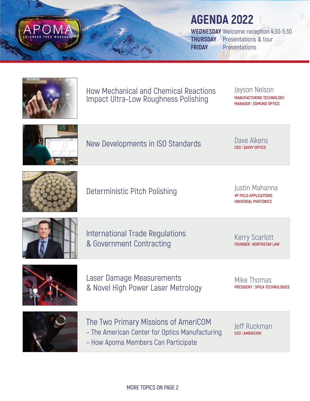

## **AGENDA 2022**

**WEDNESDAY** Welcome reception 4:30-5:30 **THURSDAY** Presentations & tour **FRIDAY** Presentations



How Mechanical and Chemical Reactions Impact Ultra-Low Roughness Polishing

Jayson Nelson **MANUFACTURING TECHNOLOGY MANAGER** | **EDMUND OPTICS**



**New Developments in ISO Standards** 

**Dave Aikens**<br>**CEO** I SAVVY OPTICS



Deterministic Pitch Polishing Justin Mahanna

**VP FIELD APPLICATIONS UNIVERSAL PHOTONICS**



International Trade Regulations & Government Contracting

Kerry Scarlott **FOUNDER** | **NORTHSTAR LAW**



Laser Damage Measurements & Novel High Power Laser Metrology

Mike Thomas **PRESIDENT** | **SPICA TECHNOLOGIES** 



The Two Primary Missions of AmeriCOM – The American Center for Optics Manufacturing – How Apoma Members Can Participate

Jeff Ruckman **CEO** | **AMERICOM**